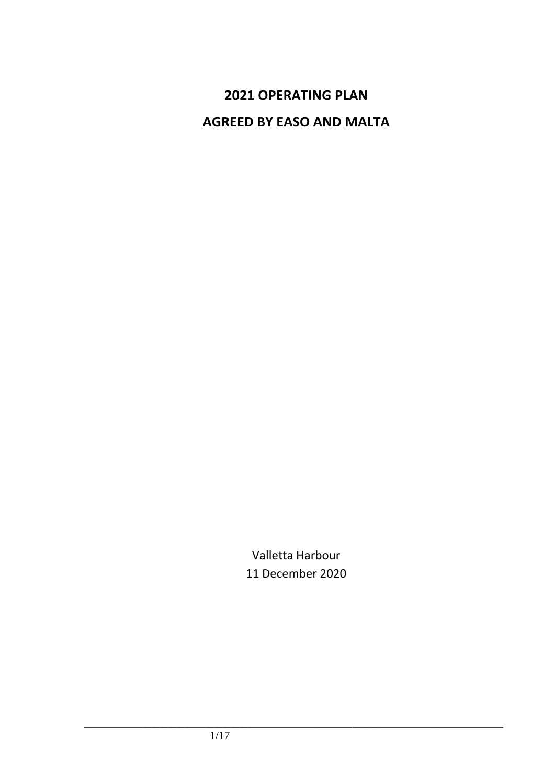# **2021 OPERATING PLAN AGREED BY EASO AND MALTA**

Valletta Harbour 11 December 2020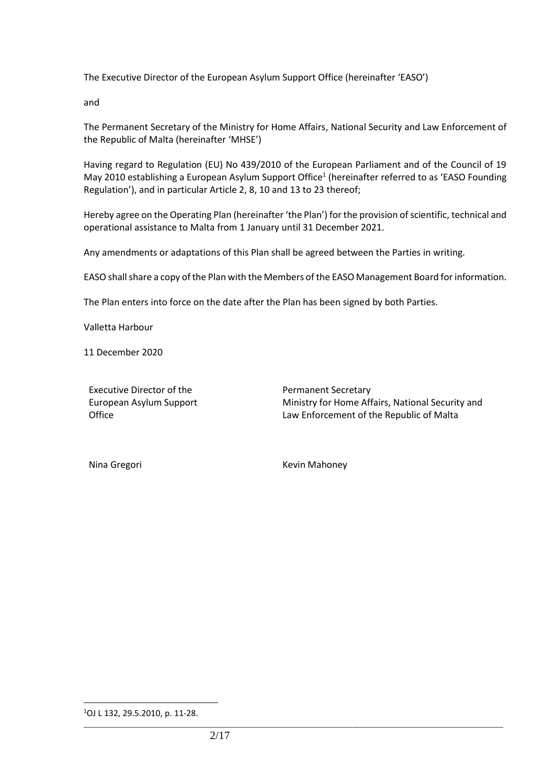The Executive Director of the European Asylum Support Office (hereinafter 'EASO')

and

The Permanent Secretary of the Ministry for Home Affairs, National Security and Law Enforcement of the Republic of Malta (hereinafter 'MHSE')

Having regard to Regulation (EU) No 439/2010 of the European Parliament and of the Council of 19 May 2010 establishing a European Asylum Support Office<sup>1</sup> (hereinafter referred to as 'EASO Founding Regulation'), and in particular Article 2, 8, 10 and 13 to 23 thereof;

Hereby agree on the Operating Plan (hereinafter 'the Plan') for the provision of scientific, technical and operational assistance to Malta from 1 January until 31 December 2021.

Any amendments or adaptations of this Plan shall be agreed between the Parties in writing.

EASO shall share a copy of the Plan with the Members of the EASO Management Board for information.

The Plan enters into force on the date after the Plan has been signed by both Parties.

Valletta Harbour

11 December 2020

Executive Director of the European Asylum Support **Office** 

Permanent Secretary Ministry for Home Affairs, National Security and Law Enforcement of the Republic of Malta

Nina Gregori **Kevin Mahoney** 

<sup>1</sup>OJ L 132, 29.5.2010, p. 11-28.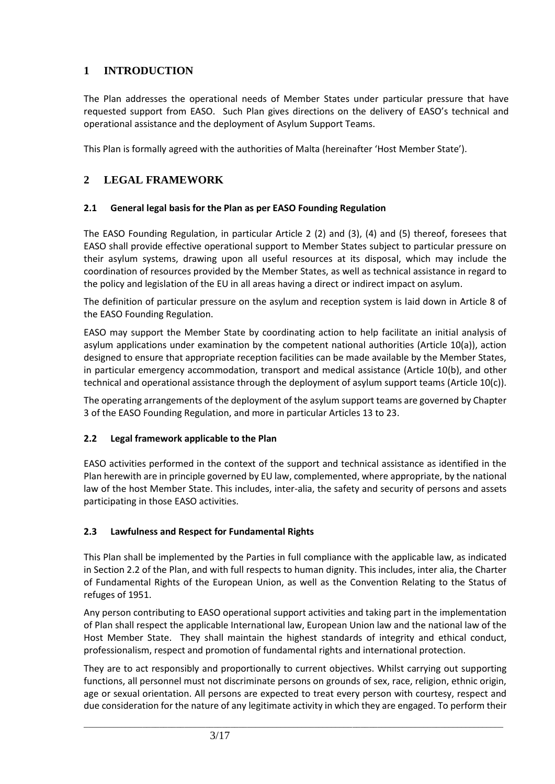# **1 INTRODUCTION**

The Plan addresses the operational needs of Member States under particular pressure that have requested support from EASO. Such Plan gives directions on the delivery of EASO's technical and operational assistance and the deployment of Asylum Support Teams.

This Plan is formally agreed with the authorities of Malta (hereinafter 'Host Member State').

# **2 LEGAL FRAMEWORK**

#### **2.1 General legal basis for the Plan as per EASO Founding Regulation**

The EASO Founding Regulation, in particular Article 2 (2) and (3), (4) and (5) thereof, foresees that EASO shall provide effective operational support to Member States subject to particular pressure on their asylum systems, drawing upon all useful resources at its disposal, which may include the coordination of resources provided by the Member States, as well as technical assistance in regard to the policy and legislation of the EU in all areas having a direct or indirect impact on asylum.

The definition of particular pressure on the asylum and reception system is laid down in Article 8 of the EASO Founding Regulation.

EASO may support the Member State by coordinating action to help facilitate an initial analysis of asylum applications under examination by the competent national authorities (Article 10(a)), action designed to ensure that appropriate reception facilities can be made available by the Member States, in particular emergency accommodation, transport and medical assistance (Article 10(b), and other technical and operational assistance through the deployment of asylum support teams (Article 10(c)).

The operating arrangements of the deployment of the asylum support teams are governed by Chapter 3 of the EASO Founding Regulation, and more in particular Articles 13 to 23.

#### **2.2 Legal framework applicable to the Plan**

EASO activities performed in the context of the support and technical assistance as identified in the Plan herewith are in principle governed by EU law, complemented, where appropriate, by the national law of the host Member State. This includes, inter-alia, the safety and security of persons and assets participating in those EASO activities.

#### **2.3 Lawfulness and Respect for Fundamental Rights**

This Plan shall be implemented by the Parties in full compliance with the applicable law, as indicated in Section 2.2 of the Plan, and with full respects to human dignity. This includes, inter alia, the Charter of Fundamental Rights of the European Union, as well as the Convention Relating to the Status of refuges of 1951.

Any person contributing to EASO operational support activities and taking part in the implementation of Plan shall respect the applicable International law, European Union law and the national law of the Host Member State. They shall maintain the highest standards of integrity and ethical conduct, professionalism, respect and promotion of fundamental rights and international protection.

They are to act responsibly and proportionally to current objectives. Whilst carrying out supporting functions, all personnel must not discriminate persons on grounds of sex, race, religion, ethnic origin, age or sexual orientation. All persons are expected to treat every person with courtesy, respect and due consideration for the nature of any legitimate activity in which they are engaged. To perform their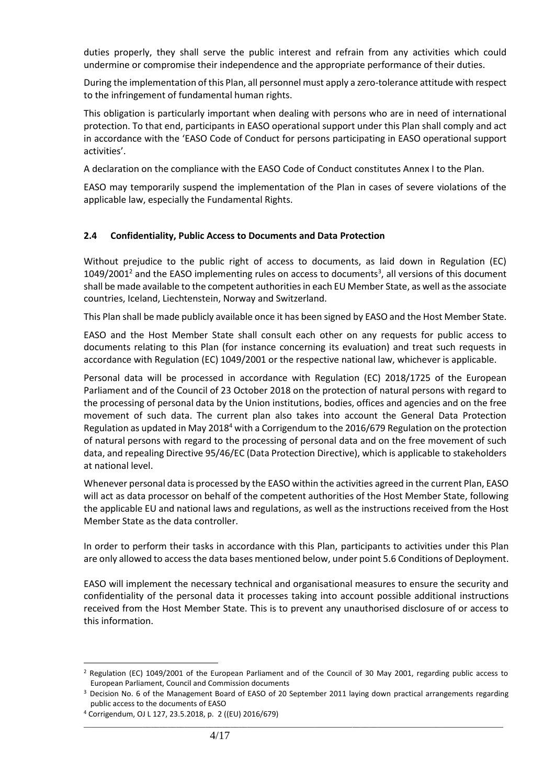duties properly, they shall serve the public interest and refrain from any activities which could undermine or compromise their independence and the appropriate performance of their duties.

During the implementation of this Plan, all personnel must apply a zero-tolerance attitude with respect to the infringement of fundamental human rights.

This obligation is particularly important when dealing with persons who are in need of international protection. To that end, participants in EASO operational support under this Plan shall comply and act in accordance with the 'EASO Code of Conduct for persons participating in EASO operational support activities'.

A declaration on the compliance with the EASO Code of Conduct constitutes Annex I to the Plan.

EASO may temporarily suspend the implementation of the Plan in cases of severe violations of the applicable law, especially the Fundamental Rights.

#### **2.4 Confidentiality, Public Access to Documents and Data Protection**

Without prejudice to the public right of access to documents, as laid down in Regulation (EC)  $1049/2001<sup>2</sup>$  and the EASO implementing rules on access to documents<sup>3</sup>, all versions of this document shall be made available to the competent authorities in each EU Member State, as well as the associate countries, Iceland, Liechtenstein, Norway and Switzerland.

This Plan shall be made publicly available once it has been signed by EASO and the Host Member State.

EASO and the Host Member State shall consult each other on any requests for public access to documents relating to this Plan (for instance concerning its evaluation) and treat such requests in accordance with Regulation (EC) 1049/2001 or the respective national law, whichever is applicable.

Personal data will be processed in accordance with Regulation (EC) 2018/1725 of the European Parliament and of the Council of 23 October 2018 on the protection of natural persons with regard to the processing of personal data by the Union institutions, bodies, offices and agencies and on the free movement of such data. The current plan also takes into account the General Data Protection Regulation as updated in May 2018<sup>4</sup> with a Corrigendum to the 2016/679 Regulation on the protection of natural persons with regard to the processing of personal data and on the free movement of such data, and repealing Directive 95/46/EC (Data Protection Directive), which is applicable to stakeholders at national level.

Whenever personal data is processed by the EASO within the activities agreed in the current Plan, EASO will act as data processor on behalf of the competent authorities of the Host Member State, following the applicable EU and national laws and regulations, as well as the instructions received from the Host Member State as the data controller.

In order to perform their tasks in accordance with this Plan, participants to activities under this Plan are only allowed to access the data bases mentioned below, under point 5.6 Conditions of Deployment.

EASO will implement the necessary technical and organisational measures to ensure the security and confidentiality of the personal data it processes taking into account possible additional instructions received from the Host Member State. This is to prevent any unauthorised disclosure of or access to this information.

<sup>2</sup> Regulation (EC) 1049/2001 of the European Parliament and of the Council of 30 May 2001, regarding public access to European Parliament, Council and Commission documents

<sup>&</sup>lt;sup>3</sup> Decision No. 6 of the Management Board of EASO of 20 September 2011 laying down practical arrangements regarding public access to the documents of EASO

<sup>4</sup> Corrigendum, OJ L 127, 23.5.2018, p. 2 ((EU) 2016/679)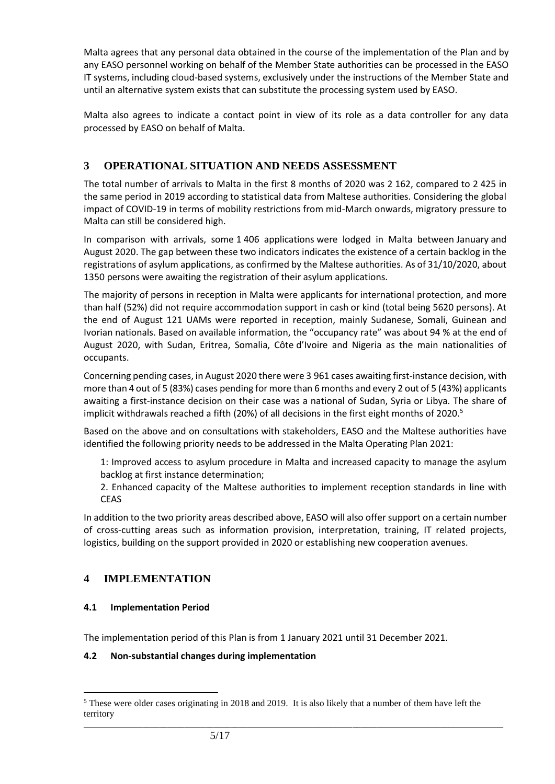Malta agrees that any personal data obtained in the course of the implementation of the Plan and by any EASO personnel working on behalf of the Member State authorities can be processed in the EASO IT systems, including cloud-based systems, exclusively under the instructions of the Member State and until an alternative system exists that can substitute the processing system used by EASO.

Malta also agrees to indicate a contact point in view of its role as a data controller for any data processed by EASO on behalf of Malta.

# **3 OPERATIONAL SITUATION AND NEEDS ASSESSMENT**

The total number of arrivals to Malta in the first 8 months of 2020 was 2 162, compared to 2 425 in the same period in 2019 according to statistical data from Maltese authorities. Considering the global impact of COVID-19 in terms of mobility restrictions from mid-March onwards, migratory pressure to Malta can still be considered high.

In comparison with arrivals, some 1 406 applications were lodged in Malta between January and August 2020. The gap between these two indicators indicates the existence of a certain backlog in the registrations of asylum applications, as confirmed by the Maltese authorities. As of 31/10/2020, about 1350 persons were awaiting the registration of their asylum applications.

The majority of persons in reception in Malta were applicants for international protection, and more than half (52%) did not require accommodation support in cash or kind (total being 5620 persons). At the end of August 121 UAMs were reported in reception, mainly Sudanese, Somali, Guinean and Ivorian nationals. Based on available information, the "occupancy rate" was about 94 % at the end of August 2020, with Sudan, Eritrea, Somalia, Côte d'Ivoire and Nigeria as the main nationalities of occupants.

Concerning pending cases, in August 2020 there were 3 961 cases awaiting first-instance decision, with more than 4 out of 5 (83%) cases pending for more than 6 months and every 2 out of 5 (43%) applicants awaiting a first-instance decision on their case was a national of Sudan, Syria or Libya. The share of implicit withdrawals reached a fifth (20%) of all decisions in the first eight months of 2020.<sup>5</sup>

Based on the above and on consultations with stakeholders, EASO and the Maltese authorities have identified the following priority needs to be addressed in the Malta Operating Plan 2021:

1: Improved access to asylum procedure in Malta and increased capacity to manage the asylum backlog at first instance determination;

2. Enhanced capacity of the Maltese authorities to implement reception standards in line with CEAS

In addition to the two priority areas described above, EASO will also offer support on a certain number of cross-cutting areas such as information provision, interpretation, training, IT related projects, logistics, building on the support provided in 2020 or establishing new cooperation avenues.

# **4 IMPLEMENTATION**

#### **4.1 Implementation Period**

The implementation period of this Plan is from 1 January 2021 until 31 December 2021.

#### **4.2 Non-substantial changes during implementation**

\_\_\_\_\_\_\_\_\_\_\_\_\_\_\_\_\_\_\_\_\_\_\_\_\_\_\_\_\_\_\_\_\_\_\_\_\_\_\_\_\_\_\_\_\_\_\_\_\_\_\_\_\_\_\_\_\_\_\_\_\_\_\_\_\_\_\_\_\_\_\_\_\_\_\_\_\_\_\_\_\_\_\_\_\_\_\_\_\_\_\_\_\_\_\_\_\_\_\_\_ <sup>5</sup> These were older cases originating in 2018 and 2019. It is also likely that a number of them have left the territory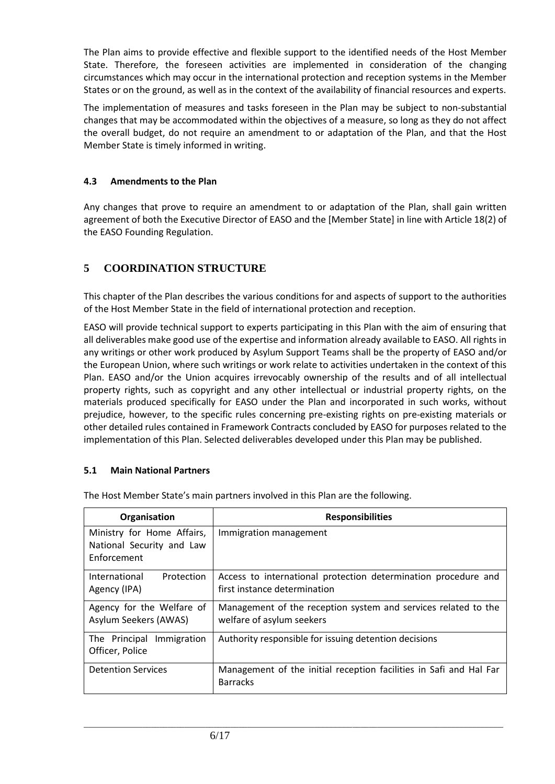The Plan aims to provide effective and flexible support to the identified needs of the Host Member State. Therefore, the foreseen activities are implemented in consideration of the changing circumstances which may occur in the international protection and reception systems in the Member States or on the ground, as well as in the context of the availability of financial resources and experts.

The implementation of measures and tasks foreseen in the Plan may be subject to non-substantial changes that may be accommodated within the objectives of a measure, so long as they do not affect the overall budget, do not require an amendment to or adaptation of the Plan, and that the Host Member State is timely informed in writing.

#### **4.3 Amendments to the Plan**

Any changes that prove to require an amendment to or adaptation of the Plan, shall gain written agreement of both the Executive Director of EASO and the [Member State] in line with Article 18(2) of the EASO Founding Regulation.

# **5 COORDINATION STRUCTURE**

This chapter of the Plan describes the various conditions for and aspects of support to the authorities of the Host Member State in the field of international protection and reception.

EASO will provide technical support to experts participating in this Plan with the aim of ensuring that all deliverables make good use of the expertise and information already available to EASO. All rights in any writings or other work produced by Asylum Support Teams shall be the property of EASO and/or the European Union, where such writings or work relate to activities undertaken in the context of this Plan. EASO and/or the Union acquires irrevocably ownership of the results and of all intellectual property rights, such as copyright and any other intellectual or industrial property rights, on the materials produced specifically for EASO under the Plan and incorporated in such works, without prejudice, however, to the specific rules concerning pre-existing rights on pre-existing materials or other detailed rules contained in Framework Contracts concluded by EASO for purposes related to the implementation of this Plan. Selected deliverables developed under this Plan may be published.

#### **5.1 Main National Partners**

| Organisation                                                           | <b>Responsibilities</b>                                                                        |
|------------------------------------------------------------------------|------------------------------------------------------------------------------------------------|
| Ministry for Home Affairs,<br>National Security and Law<br>Enforcement | Immigration management                                                                         |
| International<br>Protection<br>Agency (IPA)                            | Access to international protection determination procedure and<br>first instance determination |
| Agency for the Welfare of<br>Asylum Seekers (AWAS)                     | Management of the reception system and services related to the<br>welfare of asylum seekers    |
| The Principal Immigration<br>Officer, Police                           | Authority responsible for issuing detention decisions                                          |
| <b>Detention Services</b>                                              | Management of the initial reception facilities in Safi and Hal Far<br><b>Barracks</b>          |

\_\_\_\_\_\_\_\_\_\_\_\_\_\_\_\_\_\_\_\_\_\_\_\_\_\_\_\_\_\_\_\_\_\_\_\_\_\_\_\_\_\_\_\_\_\_\_\_\_\_\_\_\_\_\_\_\_\_\_\_\_\_\_\_\_\_\_\_\_\_\_\_\_\_\_\_\_\_\_\_\_\_\_\_\_\_\_\_\_\_\_\_\_\_\_\_\_\_\_\_

The Host Member State's main partners involved in this Plan are the following.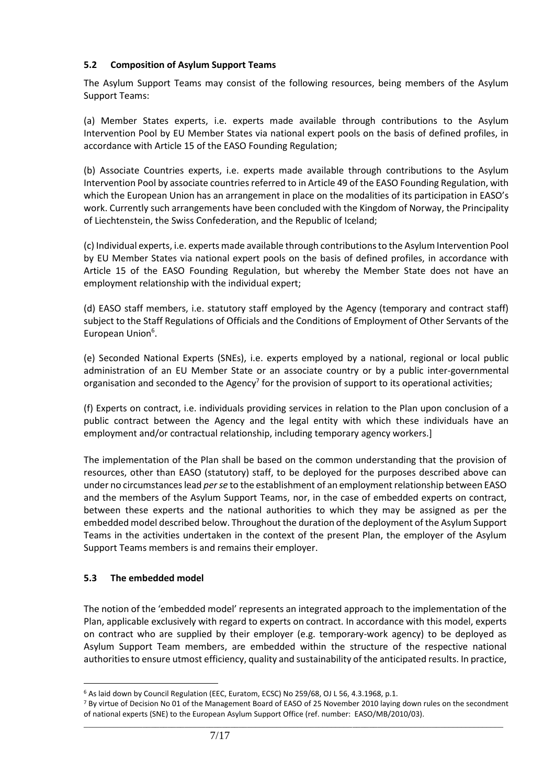#### **5.2 Composition of Asylum Support Teams**

The Asylum Support Teams may consist of the following resources, being members of the Asylum Support Teams:

(a) Member States experts, i.e. experts made available through contributions to the Asylum Intervention Pool by EU Member States via national expert pools on the basis of defined profiles, in accordance with Article 15 of the EASO Founding Regulation;

(b) Associate Countries experts, i.e. experts made available through contributions to the Asylum Intervention Pool by associate countries referred to in Article 49 of the EASO Founding Regulation, with which the European Union has an arrangement in place on the modalities of its participation in EASO's work. Currently such arrangements have been concluded with the Kingdom of Norway, the Principality of Liechtenstein, the Swiss Confederation, and the Republic of Iceland;

(c) Individual experts, i.e. experts made available through contributions to the Asylum Intervention Pool by EU Member States via national expert pools on the basis of defined profiles, in accordance with Article 15 of the EASO Founding Regulation, but whereby the Member State does not have an employment relationship with the individual expert;

(d) EASO staff members, i.e. statutory staff employed by the Agency (temporary and contract staff) subject to the Staff Regulations of Officials and the Conditions of Employment of Other Servants of the European Union<sup>6</sup>.

(e) Seconded National Experts (SNEs), i.e. experts employed by a national, regional or local public administration of an EU Member State or an associate country or by a public inter-governmental organisation and seconded to the Agency<sup>7</sup> for the provision of support to its operational activities;

(f) Experts on contract, i.e. individuals providing services in relation to the Plan upon conclusion of a public contract between the Agency and the legal entity with which these individuals have an employment and/or contractual relationship, including temporary agency workers.]

The implementation of the Plan shall be based on the common understanding that the provision of resources, other than EASO (statutory) staff, to be deployed for the purposes described above can under no circumstances lead *per se* to the establishment of an employment relationship between EASO and the members of the Asylum Support Teams, nor, in the case of embedded experts on contract, between these experts and the national authorities to which they may be assigned as per the embedded model described below. Throughout the duration of the deployment of the Asylum Support Teams in the activities undertaken in the context of the present Plan, the employer of the Asylum Support Teams members is and remains their employer.

#### **5.3 The embedded model**

The notion of the 'embedded model' represents an integrated approach to the implementation of the Plan, applicable exclusively with regard to experts on contract. In accordance with this model, experts on contract who are supplied by their employer (e.g. temporary-work agency) to be deployed as Asylum Support Team members, are embedded within the structure of the respective national authorities to ensure utmost efficiency, quality and sustainability of the anticipated results. In practice,

<sup>&</sup>lt;sup>6</sup> As laid down by Council Regulation (EEC, Euratom, ECSC) No 259/68, OJ L 56, 4.3.1968, p.1.

\_\_\_\_\_\_\_\_\_\_\_\_\_\_\_\_\_\_\_\_\_\_\_\_\_\_\_\_\_\_\_\_\_\_\_\_\_\_\_\_\_\_\_\_\_\_\_\_\_\_\_\_\_\_\_\_\_\_\_\_\_\_\_\_\_\_\_\_\_\_\_\_\_\_\_\_\_\_\_\_\_\_\_\_\_\_\_\_\_\_\_\_\_\_\_\_\_\_\_\_ <sup>7</sup> By virtue of Decision No 01 of the Management Board of EASO of 25 November 2010 laying down rules on the secondment of national experts (SNE) to the European Asylum Support Office (ref. number: EASO/MB/2010/03).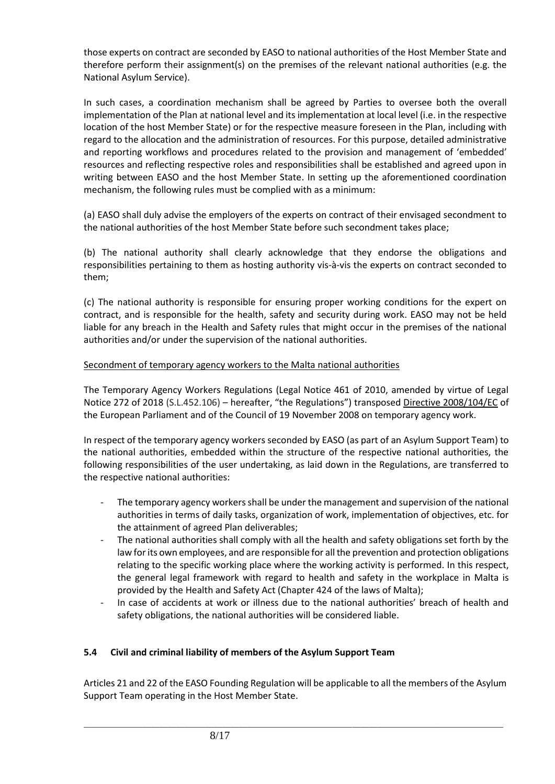those experts on contract are seconded by EASO to national authorities of the Host Member State and therefore perform their assignment(s) on the premises of the relevant national authorities (e.g. the National Asylum Service).

In such cases, a coordination mechanism shall be agreed by Parties to oversee both the overall implementation of the Plan at national level and its implementation at local level (i.e. in the respective location of the host Member State) or for the respective measure foreseen in the Plan, including with regard to the allocation and the administration of resources. For this purpose, detailed administrative and reporting workflows and procedures related to the provision and management of 'embedded' resources and reflecting respective roles and responsibilities shall be established and agreed upon in writing between EASO and the host Member State. In setting up the aforementioned coordination mechanism, the following rules must be complied with as a minimum:

(a) EASO shall duly advise the employers of the experts on contract of their envisaged secondment to the national authorities of the host Member State before such secondment takes place;

(b) The national authority shall clearly acknowledge that they endorse the obligations and responsibilities pertaining to them as hosting authority vis-à-vis the experts on contract seconded to them;

(c) The national authority is responsible for ensuring proper working conditions for the expert on contract, and is responsible for the health, safety and security during work. EASO may not be held liable for any breach in the Health and Safety rules that might occur in the premises of the national authorities and/or under the supervision of the national authorities.

#### Secondment of temporary agency workers to the Malta national authorities

The Temporary Agency Workers Regulations (Legal Notice 461 of 2010, amended by virtue of Legal Notice 272 of 2018 (S.L.452.106) – hereafter, "the Regulations") transposed Directive 2008/104/EC of the European Parliament and of the Council of 19 November 2008 on temporary agency work.

In respect of the temporary agency workers seconded by EASO (as part of an Asylum Support Team) to the national authorities, embedded within the structure of the respective national authorities, the following responsibilities of the user undertaking, as laid down in the Regulations, are transferred to the respective national authorities:

- The temporary agency workers shall be under the management and supervision of the national authorities in terms of daily tasks, organization of work, implementation of objectives, etc. for the attainment of agreed Plan deliverables;
- The national authorities shall comply with all the health and safety obligations set forth by the law for its own employees, and are responsible for all the prevention and protection obligations relating to the specific working place where the working activity is performed. In this respect, the general legal framework with regard to health and safety in the workplace in Malta is provided by the Health and Safety Act (Chapter 424 of the laws of Malta);
- In case of accidents at work or illness due to the national authorities' breach of health and safety obligations, the national authorities will be considered liable.

#### **5.4 Civil and criminal liability of members of the Asylum Support Team**

Articles 21 and 22 of the EASO Founding Regulation will be applicable to all the members of the Asylum Support Team operating in the Host Member State.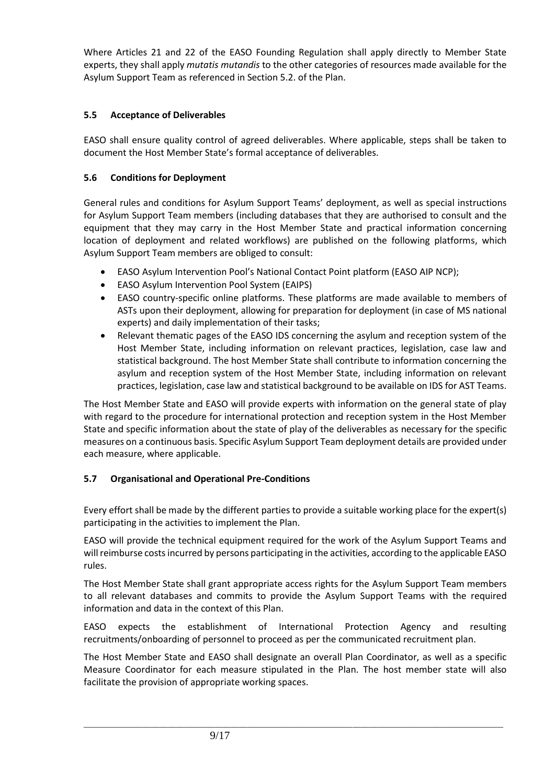Where Articles 21 and 22 of the EASO Founding Regulation shall apply directly to Member State experts, they shall apply *mutatis mutandis* to the other categories of resources made available for the Asylum Support Team as referenced in Section 5.2. of the Plan.

## **5.5 Acceptance of Deliverables**

EASO shall ensure quality control of agreed deliverables. Where applicable, steps shall be taken to document the Host Member State's formal acceptance of deliverables.

#### **5.6 Conditions for Deployment**

General rules and conditions for Asylum Support Teams' deployment, as well as special instructions for Asylum Support Team members (including databases that they are authorised to consult and the equipment that they may carry in the Host Member State and practical information concerning location of deployment and related workflows) are published on the following platforms, which Asylum Support Team members are obliged to consult:

- EASO Asylum Intervention Pool's National Contact Point platform (EASO AIP NCP);
- EASO Asylum Intervention Pool System (EAIPS)
- EASO country-specific online platforms. These platforms are made available to members of ASTs upon their deployment, allowing for preparation for deployment (in case of MS national experts) and daily implementation of their tasks;
- Relevant thematic pages of the EASO IDS concerning the asylum and reception system of the Host Member State, including information on relevant practices, legislation, case law and statistical background. The host Member State shall contribute to information concerning the asylum and reception system of the Host Member State, including information on relevant practices, legislation, case law and statistical background to be available on IDS for AST Teams.

The Host Member State and EASO will provide experts with information on the general state of play with regard to the procedure for international protection and reception system in the Host Member State and specific information about the state of play of the deliverables as necessary for the specific measures on a continuous basis. Specific Asylum Support Team deployment details are provided under each measure, where applicable.

# **5.7 Organisational and Operational Pre-Conditions**

Every effort shall be made by the different parties to provide a suitable working place for the expert(s) participating in the activities to implement the Plan.

EASO will provide the technical equipment required for the work of the Asylum Support Teams and will reimburse costs incurred by persons participating in the activities, according to the applicable EASO rules.

The Host Member State shall grant appropriate access rights for the Asylum Support Team members to all relevant databases and commits to provide the Asylum Support Teams with the required information and data in the context of this Plan.

EASO expects the establishment of International Protection Agency and resulting recruitments/onboarding of personnel to proceed as per the communicated recruitment plan.

The Host Member State and EASO shall designate an overall Plan Coordinator, as well as a specific Measure Coordinator for each measure stipulated in the Plan. The host member state will also facilitate the provision of appropriate working spaces.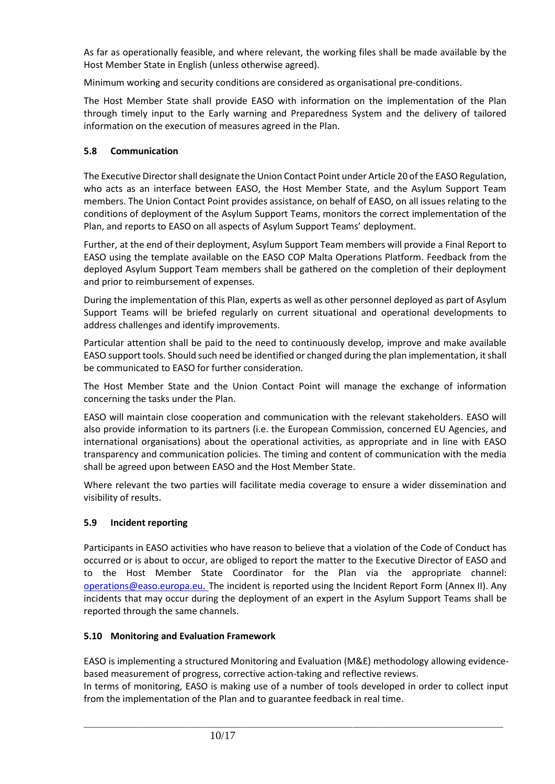As far as operationally feasible, and where relevant, the working files shall be made available by the Host Member State in English (unless otherwise agreed).

Minimum working and security conditions are considered as organisational pre-conditions.

The Host Member State shall provide EASO with information on the implementation of the Plan through timely input to the Early warning and Preparedness System and the delivery of tailored information on the execution of measures agreed in the Plan.

## **5.8 Communication**

The Executive Director shall designate the Union Contact Point under Article 20 of the EASO Regulation, who acts as an interface between EASO, the Host Member State, and the Asylum Support Team members. The Union Contact Point provides assistance, on behalf of EASO, on all issues relating to the conditions of deployment of the Asylum Support Teams, monitors the correct implementation of the Plan, and reports to EASO on all aspects of Asylum Support Teams' deployment.

Further, at the end of their deployment, Asylum Support Team members will provide a Final Report to EASO using the template available on the EASO COP Malta Operations Platform. Feedback from the deployed Asylum Support Team members shall be gathered on the completion of their deployment and prior to reimbursement of expenses.

During the implementation of this Plan, experts as well as other personnel deployed as part of Asylum Support Teams will be briefed regularly on current situational and operational developments to address challenges and identify improvements.

Particular attention shall be paid to the need to continuously develop, improve and make available EASO support tools. Should such need be identified or changed during the plan implementation, it shall be communicated to EASO for further consideration.

The Host Member State and the Union Contact Point will manage the exchange of information concerning the tasks under the Plan.

EASO will maintain close cooperation and communication with the relevant stakeholders. EASO will also provide information to its partners (i.e. the European Commission, concerned EU Agencies, and international organisations) about the operational activities, as appropriate and in line with EASO transparency and communication policies. The timing and content of communication with the media shall be agreed upon between EASO and the Host Member State.

Where relevant the two parties will facilitate media coverage to ensure a wider dissemination and visibility of results.

#### **5.9 Incident reporting**

Participants in EASO activities who have reason to believe that a violation of the Code of Conduct has occurred or is about to occur, are obliged to report the matter to the Executive Director of EASO and to the Host Member State Coordinator for the Plan via the appropriate [channel:](mailto:channel:%20%20%20operations@easo.europa.eu)  [operations@easo.europa.eu](mailto:channel:%20%20%20operations@easo.europa.eu). The incident is reported using the Incident Report Form (Annex II). Any incidents that may occur during the deployment of an expert in the Asylum Support Teams shall be reported through the same channels.

#### **5.10 Monitoring and Evaluation Framework**

EASO is implementing a structured Monitoring and Evaluation (M&E) methodology allowing evidencebased measurement of progress, corrective action-taking and reflective reviews.

In terms of monitoring, EASO is making use of a number of tools developed in order to collect input from the implementation of the Plan and to guarantee feedback in real time.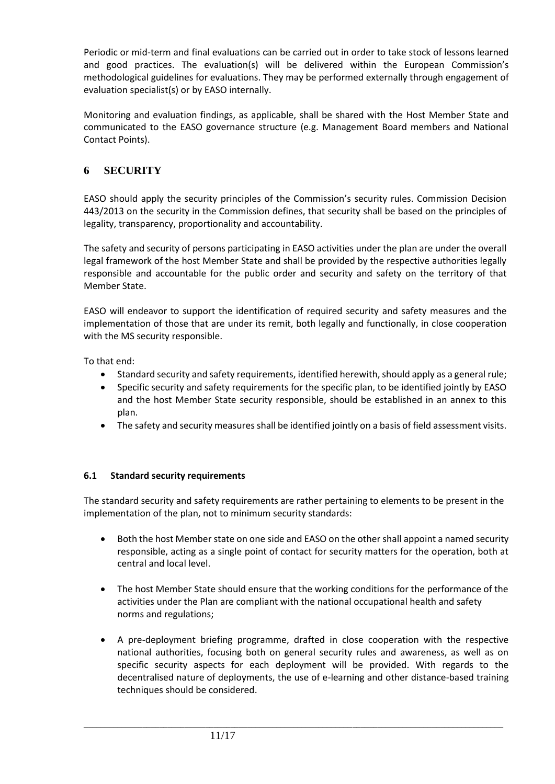Periodic or mid-term and final evaluations can be carried out in order to take stock of lessons learned and good practices. The evaluation(s) will be delivered within the European Commission's methodological guidelines for evaluations. They may be performed externally through engagement of evaluation specialist(s) or by EASO internally.

Monitoring and evaluation findings, as applicable, shall be shared with the Host Member State and communicated to the EASO governance structure (e.g. Management Board members and National Contact Points).

# **6 SECURITY**

EASO should apply the security principles of the Commission's security rules. Commission Decision 443/2013 on the security in the Commission defines, that security shall be based on the principles of legality, transparency, proportionality and accountability.

The safety and security of persons participating in EASO activities under the plan are under the overall legal framework of the host Member State and shall be provided by the respective authorities legally responsible and accountable for the public order and security and safety on the territory of that Member State.

EASO will endeavor to support the identification of required security and safety measures and the implementation of those that are under its remit, both legally and functionally, in close cooperation with the MS security responsible.

To that end:

- Standard security and safety requirements, identified herewith, should apply as a general rule;
- Specific security and safety requirements for the specific plan, to be identified jointly by EASO and the host Member State security responsible, should be established in an annex to this plan.
- The safety and security measures shall be identified jointly on a basis of field assessment visits.

#### **6.1 Standard security requirements**

The standard security and safety requirements are rather pertaining to elements to be present in the implementation of the plan, not to minimum security standards:

- Both the host Member state on one side and EASO on the other shall appoint a named security responsible, acting as a single point of contact for security matters for the operation, both at central and local level.
- The host Member State should ensure that the working conditions for the performance of the activities under the Plan are compliant with the national occupational health and safety norms and regulations;
- A pre-deployment briefing programme, drafted in close cooperation with the respective national authorities, focusing both on general security rules and awareness, as well as on specific security aspects for each deployment will be provided. With regards to the decentralised nature of deployments, the use of e-learning and other distance-based training techniques should be considered.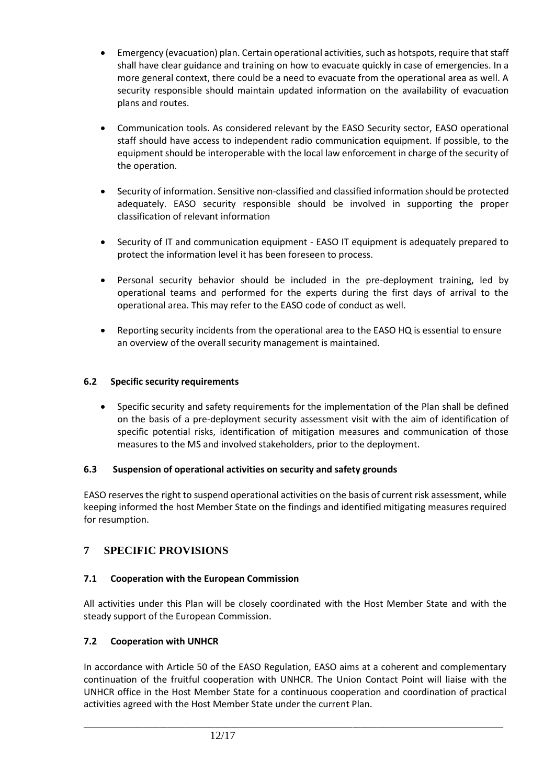- Emergency (evacuation) plan. Certain operational activities, such as hotspots, require that staff shall have clear guidance and training on how to evacuate quickly in case of emergencies. In a more general context, there could be a need to evacuate from the operational area as well. A security responsible should maintain updated information on the availability of evacuation plans and routes.
- Communication tools. As considered relevant by the EASO Security sector, EASO operational staff should have access to independent radio communication equipment. If possible, to the equipment should be interoperable with the local law enforcement in charge of the security of the operation.
- Security of information. Sensitive non-classified and classified information should be protected adequately. EASO security responsible should be involved in supporting the proper classification of relevant information
- Security of IT and communication equipment EASO IT equipment is adequately prepared to protect the information level it has been foreseen to process.
- Personal security behavior should be included in the pre-deployment training, led by operational teams and performed for the experts during the first days of arrival to the operational area. This may refer to the EASO code of conduct as well.
- Reporting security incidents from the operational area to the EASO HQ is essential to ensure an overview of the overall security management is maintained.

## **6.2 Specific security requirements**

• Specific security and safety requirements for the implementation of the Plan shall be defined on the basis of a pre-deployment security assessment visit with the aim of identification of specific potential risks, identification of mitigation measures and communication of those measures to the MS and involved stakeholders, prior to the deployment.

#### **6.3 Suspension of operational activities on security and safety grounds**

EASO reserves the right to suspend operational activities on the basis of current risk assessment, while keeping informed the host Member State on the findings and identified mitigating measures required for resumption.

# **7 SPECIFIC PROVISIONS**

# **7.1 Cooperation with the European Commission**

All activities under this Plan will be closely coordinated with the Host Member State and with the steady support of the European Commission.

#### **7.2 Cooperation with UNHCR**

In accordance with Article 50 of the EASO Regulation, EASO aims at a coherent and complementary continuation of the fruitful cooperation with UNHCR. The Union Contact Point will liaise with the UNHCR office in the Host Member State for a continuous cooperation and coordination of practical activities agreed with the Host Member State under the current Plan.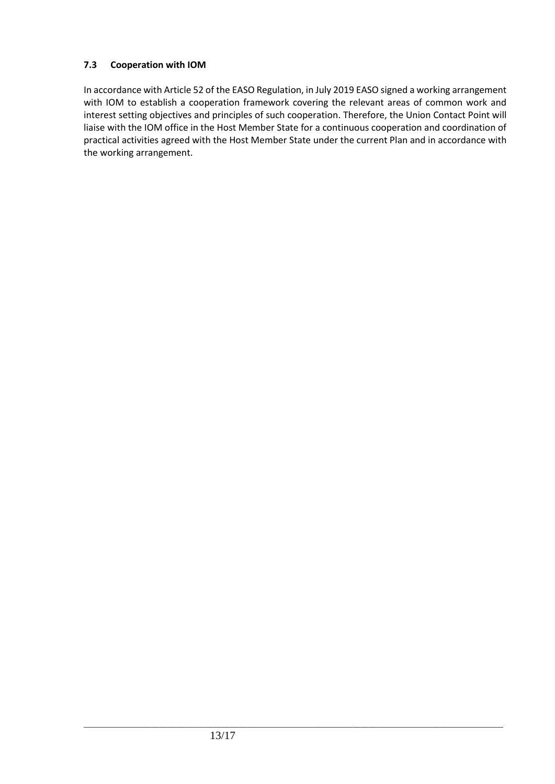#### **7.3 Cooperation with IOM**

In accordance with Article 52 of the EASO Regulation, in July 2019 EASO signed a working arrangement with IOM to establish a cooperation framework covering the relevant areas of common work and interest setting objectives and principles of such cooperation. Therefore, the Union Contact Point will liaise with the IOM office in the Host Member State for a continuous cooperation and coordination of practical activities agreed with the Host Member State under the current Plan and in accordance with the working arrangement.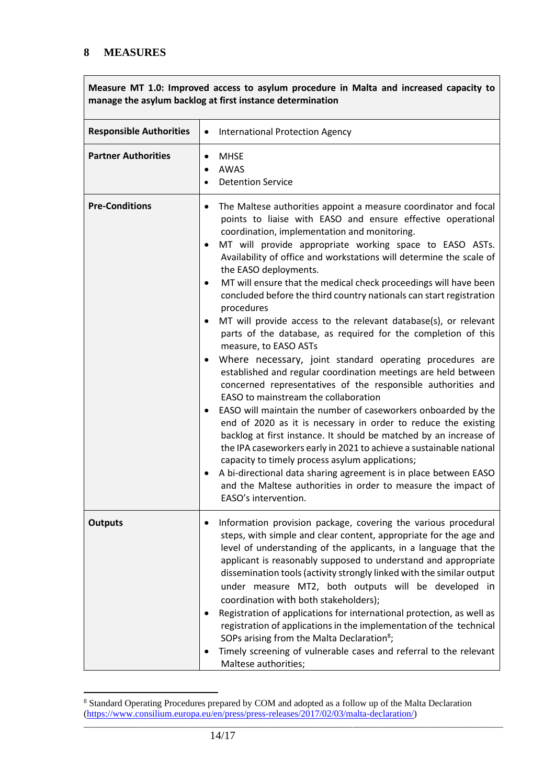**Measure MT 1.0: Improved access to asylum procedure in Malta and increased capacity to manage the asylum backlog at first instance determination**

| <b>Responsible Authorities</b> | <b>International Protection Agency</b><br>$\bullet$                                                                                                                                                                                                                                                                                                                                                                                                                                                                                                                                                                                                                                                                                                                                                                                                                                                                                                                                                                                                                                                                                                                                                                                                                                                                                                                                                                                              |
|--------------------------------|--------------------------------------------------------------------------------------------------------------------------------------------------------------------------------------------------------------------------------------------------------------------------------------------------------------------------------------------------------------------------------------------------------------------------------------------------------------------------------------------------------------------------------------------------------------------------------------------------------------------------------------------------------------------------------------------------------------------------------------------------------------------------------------------------------------------------------------------------------------------------------------------------------------------------------------------------------------------------------------------------------------------------------------------------------------------------------------------------------------------------------------------------------------------------------------------------------------------------------------------------------------------------------------------------------------------------------------------------------------------------------------------------------------------------------------------------|
| <b>Partner Authorities</b>     | <b>MHSE</b><br>$\bullet$<br><b>AWAS</b><br>$\bullet$<br><b>Detention Service</b>                                                                                                                                                                                                                                                                                                                                                                                                                                                                                                                                                                                                                                                                                                                                                                                                                                                                                                                                                                                                                                                                                                                                                                                                                                                                                                                                                                 |
| <b>Pre-Conditions</b>          | The Maltese authorities appoint a measure coordinator and focal<br>$\bullet$<br>points to liaise with EASO and ensure effective operational<br>coordination, implementation and monitoring.<br>MT will provide appropriate working space to EASO ASTs.<br>$\bullet$<br>Availability of office and workstations will determine the scale of<br>the EASO deployments.<br>MT will ensure that the medical check proceedings will have been<br>٠<br>concluded before the third country nationals can start registration<br>procedures<br>MT will provide access to the relevant database(s), or relevant<br>parts of the database, as required for the completion of this<br>measure, to EASO ASTs<br>Where necessary, joint standard operating procedures are<br>established and regular coordination meetings are held between<br>concerned representatives of the responsible authorities and<br>EASO to mainstream the collaboration<br>EASO will maintain the number of caseworkers onboarded by the<br>end of 2020 as it is necessary in order to reduce the existing<br>backlog at first instance. It should be matched by an increase of<br>the IPA caseworkers early in 2021 to achieve a sustainable national<br>capacity to timely process asylum applications;<br>A bi-directional data sharing agreement is in place between EASO<br>$\bullet$<br>and the Maltese authorities in order to measure the impact of<br>EASO's intervention. |
| <b>Outputs</b>                 | Information provision package, covering the various procedural<br>steps, with simple and clear content, appropriate for the age and<br>level of understanding of the applicants, in a language that the<br>applicant is reasonably supposed to understand and appropriate<br>dissemination tools (activity strongly linked with the similar output<br>under measure MT2, both outputs will be developed in<br>coordination with both stakeholders);<br>Registration of applications for international protection, as well as<br>registration of applications in the implementation of the technical<br>SOPs arising from the Malta Declaration <sup>8</sup> ;<br>Timely screening of vulnerable cases and referral to the relevant<br>Maltese authorities;                                                                                                                                                                                                                                                                                                                                                                                                                                                                                                                                                                                                                                                                                       |

\_\_\_\_\_\_\_\_\_\_\_\_\_\_\_\_\_\_\_\_\_\_\_\_\_\_\_\_\_\_\_\_\_\_\_\_\_\_\_\_\_\_\_\_\_\_\_\_\_\_\_\_\_\_\_\_\_\_\_\_\_\_\_\_\_\_\_\_\_\_\_\_\_\_\_\_\_\_\_\_\_\_\_\_\_\_\_\_\_\_\_\_\_\_\_\_\_\_\_\_ <sup>8</sup> Standard Operating Procedures prepared by COM and adopted as a follow up of the Malta Declaration [\(https://www.consilium.europa.eu/en/press/press-releases/2017/02/03/malta-declaration/\)](https://www.consilium.europa.eu/en/press/press-releases/2017/02/03/malta-declaration/)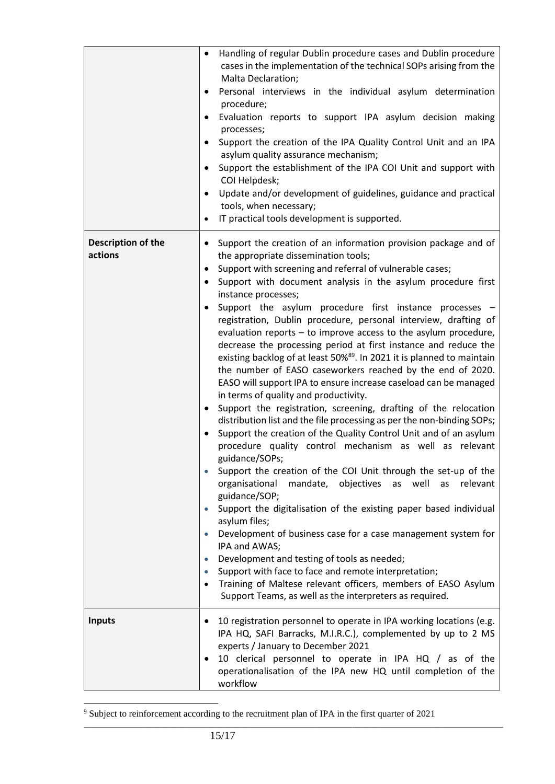|                               | Handling of regular Dublin procedure cases and Dublin procedure<br>$\bullet$<br>cases in the implementation of the technical SOPs arising from the<br>Malta Declaration;<br>Personal interviews in the individual asylum determination<br>$\bullet$<br>procedure;<br>Evaluation reports to support IPA asylum decision making<br>processes;<br>Support the creation of the IPA Quality Control Unit and an IPA<br>$\bullet$<br>asylum quality assurance mechanism;<br>Support the establishment of the IPA COI Unit and support with<br>$\bullet$<br>COI Helpdesk;<br>Update and/or development of guidelines, guidance and practical<br>$\bullet$<br>tools, when necessary;<br>IT practical tools development is supported.                                                                                                                                                                                                                                                                                                                                                                                                                                                                                                                                                                                                                                                                                                                                                                                                                                                                                                                                                                                                                                    |
|-------------------------------|-----------------------------------------------------------------------------------------------------------------------------------------------------------------------------------------------------------------------------------------------------------------------------------------------------------------------------------------------------------------------------------------------------------------------------------------------------------------------------------------------------------------------------------------------------------------------------------------------------------------------------------------------------------------------------------------------------------------------------------------------------------------------------------------------------------------------------------------------------------------------------------------------------------------------------------------------------------------------------------------------------------------------------------------------------------------------------------------------------------------------------------------------------------------------------------------------------------------------------------------------------------------------------------------------------------------------------------------------------------------------------------------------------------------------------------------------------------------------------------------------------------------------------------------------------------------------------------------------------------------------------------------------------------------------------------------------------------------------------------------------------------------|
| Description of the<br>actions | Support the creation of an information provision package and of<br>$\bullet$<br>the appropriate dissemination tools;<br>Support with screening and referral of vulnerable cases;<br>$\bullet$<br>Support with document analysis in the asylum procedure first<br>$\bullet$<br>instance processes;<br>Support the asylum procedure first instance processes<br>registration, Dublin procedure, personal interview, drafting of<br>evaluation reports - to improve access to the asylum procedure,<br>decrease the processing period at first instance and reduce the<br>existing backlog of at least 50% <sup>89</sup> . In 2021 it is planned to maintain<br>the number of EASO caseworkers reached by the end of 2020.<br>EASO will support IPA to ensure increase caseload can be managed<br>in terms of quality and productivity.<br>Support the registration, screening, drafting of the relocation<br>$\bullet$<br>distribution list and the file processing as per the non-binding SOPs;<br>Support the creation of the Quality Control Unit and of an asylum<br>procedure quality control mechanism as well as relevant<br>guidance/SOPs;<br>Support the creation of the COI Unit through the set-up of the<br>organisational mandate, objectives as well as<br>relevant<br>guidance/SOP;<br>Support the digitalisation of the existing paper based individual<br>asylum files;<br>Development of business case for a case management system for<br>$\bullet$<br>IPA and AWAS;<br>Development and testing of tools as needed;<br>$\bullet$<br>Support with face to face and remote interpretation;<br>$\bullet$<br>Training of Maltese relevant officers, members of EASO Asylum<br>$\bullet$<br>Support Teams, as well as the interpreters as required. |
| <b>Inputs</b>                 | 10 registration personnel to operate in IPA working locations (e.g.<br>IPA HQ, SAFI Barracks, M.I.R.C.), complemented by up to 2 MS<br>experts / January to December 2021<br>10 clerical personnel to operate in IPA HQ / as of the<br>operationalisation of the IPA new HQ until completion of the<br>workflow                                                                                                                                                                                                                                                                                                                                                                                                                                                                                                                                                                                                                                                                                                                                                                                                                                                                                                                                                                                                                                                                                                                                                                                                                                                                                                                                                                                                                                                 |

<sup>9</sup> Subject to reinforcement according to the recruitment plan of IPA in the first quarter of 2021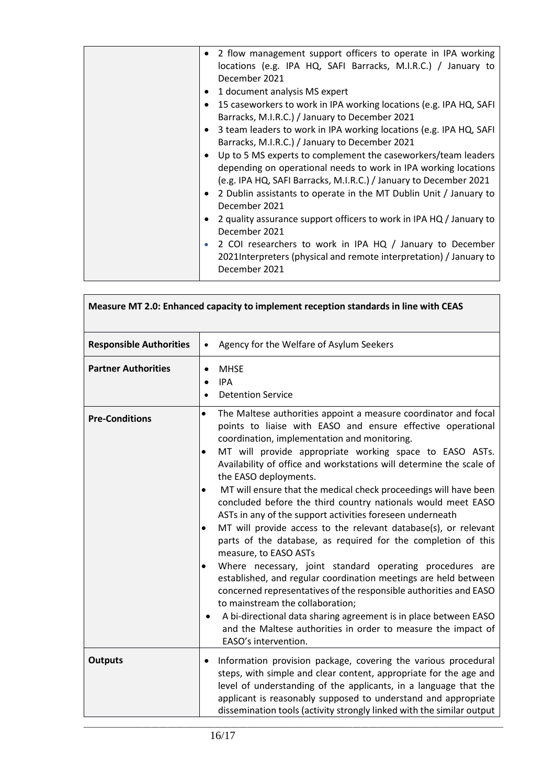| December 2021<br>1 document analysis MS expert<br>$\bullet$<br>Barracks, M.I.R.C.) / January to December 2021<br>Barracks, M.I.R.C.) / January to December 2021<br>December 2021<br>December 2021<br>$\bullet$<br>December 2021 | • 2 flow management support officers to operate in IPA working<br>locations (e.g. IPA HQ, SAFI Barracks, M.I.R.C.) / January to<br>15 caseworkers to work in IPA working locations (e.g. IPA HQ, SAFI<br>3 team leaders to work in IPA working locations (e.g. IPA HQ, SAFI<br>Up to 5 MS experts to complement the caseworkers/team leaders<br>depending on operational needs to work in IPA working locations<br>(e.g. IPA HQ, SAFI Barracks, M.I.R.C.) / January to December 2021<br>2 Dublin assistants to operate in the MT Dublin Unit / January to<br>2 quality assurance support officers to work in IPA HQ / January to<br>2 COI researchers to work in IPA HQ / January to December<br>2021Interpreters (physical and remote interpretation) / January to |
|---------------------------------------------------------------------------------------------------------------------------------------------------------------------------------------------------------------------------------|---------------------------------------------------------------------------------------------------------------------------------------------------------------------------------------------------------------------------------------------------------------------------------------------------------------------------------------------------------------------------------------------------------------------------------------------------------------------------------------------------------------------------------------------------------------------------------------------------------------------------------------------------------------------------------------------------------------------------------------------------------------------|
|---------------------------------------------------------------------------------------------------------------------------------------------------------------------------------------------------------------------------------|---------------------------------------------------------------------------------------------------------------------------------------------------------------------------------------------------------------------------------------------------------------------------------------------------------------------------------------------------------------------------------------------------------------------------------------------------------------------------------------------------------------------------------------------------------------------------------------------------------------------------------------------------------------------------------------------------------------------------------------------------------------------|

| Measure MT 2.0: Enhanced capacity to implement reception standards in line with CEAS |                                                                                                                                                                                                                                                                                                                                                                                                                                                                                                                                                                                                                                                                                                                                                                                                                                                                                                                                                                                                                                                                                                                                                     |  |
|--------------------------------------------------------------------------------------|-----------------------------------------------------------------------------------------------------------------------------------------------------------------------------------------------------------------------------------------------------------------------------------------------------------------------------------------------------------------------------------------------------------------------------------------------------------------------------------------------------------------------------------------------------------------------------------------------------------------------------------------------------------------------------------------------------------------------------------------------------------------------------------------------------------------------------------------------------------------------------------------------------------------------------------------------------------------------------------------------------------------------------------------------------------------------------------------------------------------------------------------------------|--|
| <b>Responsible Authorities</b>                                                       | Agency for the Welfare of Asylum Seekers<br>$\bullet$                                                                                                                                                                                                                                                                                                                                                                                                                                                                                                                                                                                                                                                                                                                                                                                                                                                                                                                                                                                                                                                                                               |  |
| <b>Partner Authorities</b>                                                           | <b>MHSE</b><br><b>IPA</b><br>$\bullet$<br><b>Detention Service</b><br>$\bullet$                                                                                                                                                                                                                                                                                                                                                                                                                                                                                                                                                                                                                                                                                                                                                                                                                                                                                                                                                                                                                                                                     |  |
| <b>Pre-Conditions</b>                                                                | The Maltese authorities appoint a measure coordinator and focal<br>points to liaise with EASO and ensure effective operational<br>coordination, implementation and monitoring.<br>MT will provide appropriate working space to EASO ASTs.<br>Availability of office and workstations will determine the scale of<br>the EASO deployments.<br>MT will ensure that the medical check proceedings will have been<br>$\bullet$<br>concluded before the third country nationals would meet EASO<br>ASTs in any of the support activities foreseen underneath<br>MT will provide access to the relevant database(s), or relevant<br>$\bullet$<br>parts of the database, as required for the completion of this<br>measure, to EASO ASTs<br>Where necessary, joint standard operating procedures are<br>$\bullet$<br>established, and regular coordination meetings are held between<br>concerned representatives of the responsible authorities and EASO<br>to mainstream the collaboration;<br>A bi-directional data sharing agreement is in place between EASO<br>and the Maltese authorities in order to measure the impact of<br>EASO's intervention. |  |
| <b>Outputs</b>                                                                       | Information provision package, covering the various procedural<br>٠<br>steps, with simple and clear content, appropriate for the age and<br>level of understanding of the applicants, in a language that the<br>applicant is reasonably supposed to understand and appropriate<br>dissemination tools (activity strongly linked with the similar output                                                                                                                                                                                                                                                                                                                                                                                                                                                                                                                                                                                                                                                                                                                                                                                             |  |